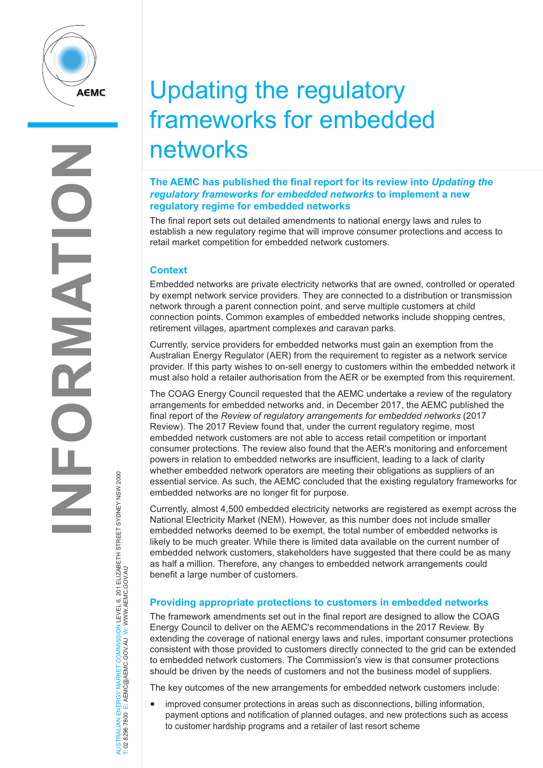

# NERGY MARKET COMMISSION LEVEL 6, 201 ELIZABETH STREET SYDNEY NSW 2000<br>E: AEMC@AEMC.GOVAU W: WWW.AEMC.GOV.AU AUSTRALIAN ENERGY MARKET COMMISSION LEVEL 6, 201 ELIZABETH STREET SYDNEY NSW 2000 T: 02 8296 7800 E: AEMC@AEMC.GOV.AU W: WWW.AEMC.GOV.AU AUSTRALIAN ENERGY MARKET T: 02 8296 7800

# Updating the regulatory frameworks for embedded networks

## **The AEMC has published the final report for its review into** *Updating the regulatory frameworks for embedded networks* **to implement a new regulatory regime for embedded networks**

The final report sets out detailed amendments to national energy laws and rules to establish a new regulatory regime that will improve consumer protections and access to retail market competition for embedded network customers.

# **Context**

Embedded networks are private electricity networks that are owned, controlled or operated by exempt network service providers. They are connected to a distribution or transmission network through a parent connection point, and serve multiple customers at child connection points. Common examples of embedded networks include shopping centres, retirement villages, apartment complexes and caravan parks.

Currently, service providers for embedded networks must gain an exemption from the Australian Energy Regulator (AER) from the requirement to register as a network service provider. If this party wishes to on-sell energy to customers within the embedded network it must also hold a retailer authorisation from the AER or be exempted from this requirement.

The COAG Energy Council requested that the AEMC undertake a review of the regulatory arrangements for embedded networks and, in December 2017, the AEMC published the final report of the *Review of regulatory arrangements for embedded networks* (2017 Review). The 2017 Review found that, under the current regulatory regime, most embedded network customers are not able to access retail competition or important consumer protections. The review also found that the AER's monitoring and enforcement powers in relation to embedded networks are insufficient, leading to a lack of clarity whether embedded network operators are meeting their obligations as suppliers of an essential service. As such, the AEMC concluded that the existing regulatory frameworks for embedded networks are no longer fit for purpose.

Currently, almost 4,500 embedded electricity networks are registered as exempt across the National Electricity Market (NEM). However, as this number does not include smaller embedded networks deemed to be exempt, the total number of embedded networks is likely to be much greater. While there is limited data available on the current number of embedded network customers, stakeholders have suggested that there could be as many as half a million. Therefore, any changes to embedded network arrangements could benefit a large number of customers.

# **Providing appropriate protections to customers in embedded networks**

The framework amendments set out in the final report are designed to allow the COAG Energy Council to deliver on the AEMC's recommendations in the 2017 Review. By extending the coverage of national energy laws and rules, important consumer protections consistent with those provided to customers directly connected to the grid can be extended to embedded network customers. The Commission's view is that consumer protections should be driven by the needs of customers and not the business model of suppliers.

The key outcomes of the new arrangements for embedded network customers include:

• improved consumer protections in areas such as disconnections, billing information, payment options and notification of planned outages, and new protections such as access to customer hardship programs and a retailer of last resort scheme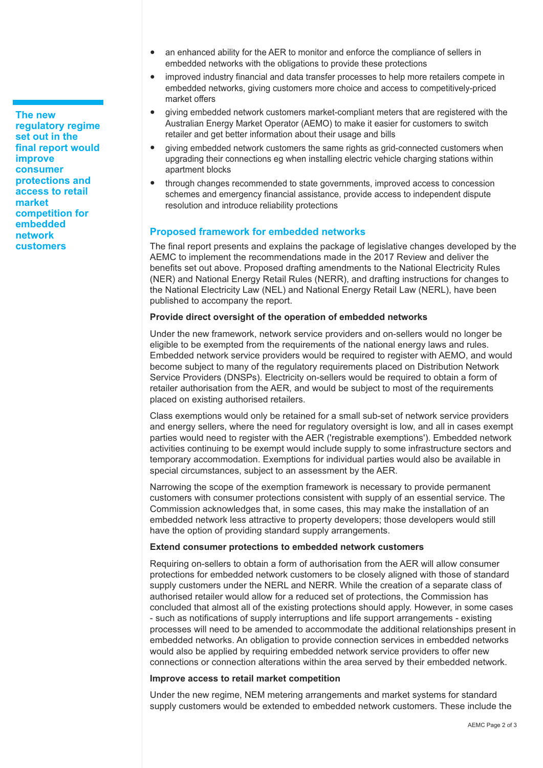**The new regulatory regime set out in the final report would improve consumer protections and access to retail market competition for embedded network customers**

- an enhanced ability for the AER to monitor and enforce the compliance of sellers in embedded networks with the obligations to provide these protections
- improved industry financial and data transfer processes to help more retailers compete in embedded networks, giving customers more choice and access to competitively-priced market offers
- giving embedded network customers market-compliant meters that are registered with the Australian Energy Market Operator (AEMO) to make it easier for customers to switch retailer and get better information about their usage and bills
- giving embedded network customers the same rights as grid-connected customers when upgrading their connections eg when installing electric vehicle charging stations within apartment blocks
- through changes recommended to state governments, improved access to concession schemes and emergency financial assistance, provide access to independent dispute resolution and introduce reliability protections

### **Proposed framework for embedded networks**

The final report presents and explains the package of legislative changes developed by the AEMC to implement the recommendations made in the 2017 Review and deliver the benefits set out above. Proposed drafting amendments to the National Electricity Rules (NER) and National Energy Retail Rules (NERR), and drafting instructions for changes to the National Electricity Law (NEL) and National Energy Retail Law (NERL), have been published to accompany the report.

#### **Provide direct oversight of the operation of embedded networks**

Under the new framework, network service providers and on-sellers would no longer be eligible to be exempted from the requirements of the national energy laws and rules. Embedded network service providers would be required to register with AEMO, and would become subject to many of the regulatory requirements placed on Distribution Network Service Providers (DNSPs). Electricity on-sellers would be required to obtain a form of retailer authorisation from the AER, and would be subject to most of the requirements placed on existing authorised retailers.

Class exemptions would only be retained for a small sub-set of network service providers and energy sellers, where the need for regulatory oversight is low, and all in cases exempt parties would need to register with the AER ('registrable exemptions'). Embedded network activities continuing to be exempt would include supply to some infrastructure sectors and temporary accommodation. Exemptions for individual parties would also be available in special circumstances, subject to an assessment by the AER.

Narrowing the scope of the exemption framework is necessary to provide permanent customers with consumer protections consistent with supply of an essential service. The Commission acknowledges that, in some cases, this may make the installation of an embedded network less attractive to property developers; those developers would still have the option of providing standard supply arrangements.

#### **Extend consumer protections to embedded network customers**

Requiring on-sellers to obtain a form of authorisation from the AER will allow consumer protections for embedded network customers to be closely aligned with those of standard supply customers under the NERL and NERR. While the creation of a separate class of authorised retailer would allow for a reduced set of protections, the Commission has concluded that almost all of the existing protections should apply. However, in some cases - such as notifications of supply interruptions and life support arrangements - existing processes will need to be amended to accommodate the additional relationships present in embedded networks. An obligation to provide connection services in embedded networks would also be applied by requiring embedded network service providers to offer new connections or connection alterations within the area served by their embedded network.

#### **Improve access to retail market competition**

Under the new regime, NEM metering arrangements and market systems for standard supply customers would be extended to embedded network customers. These include the